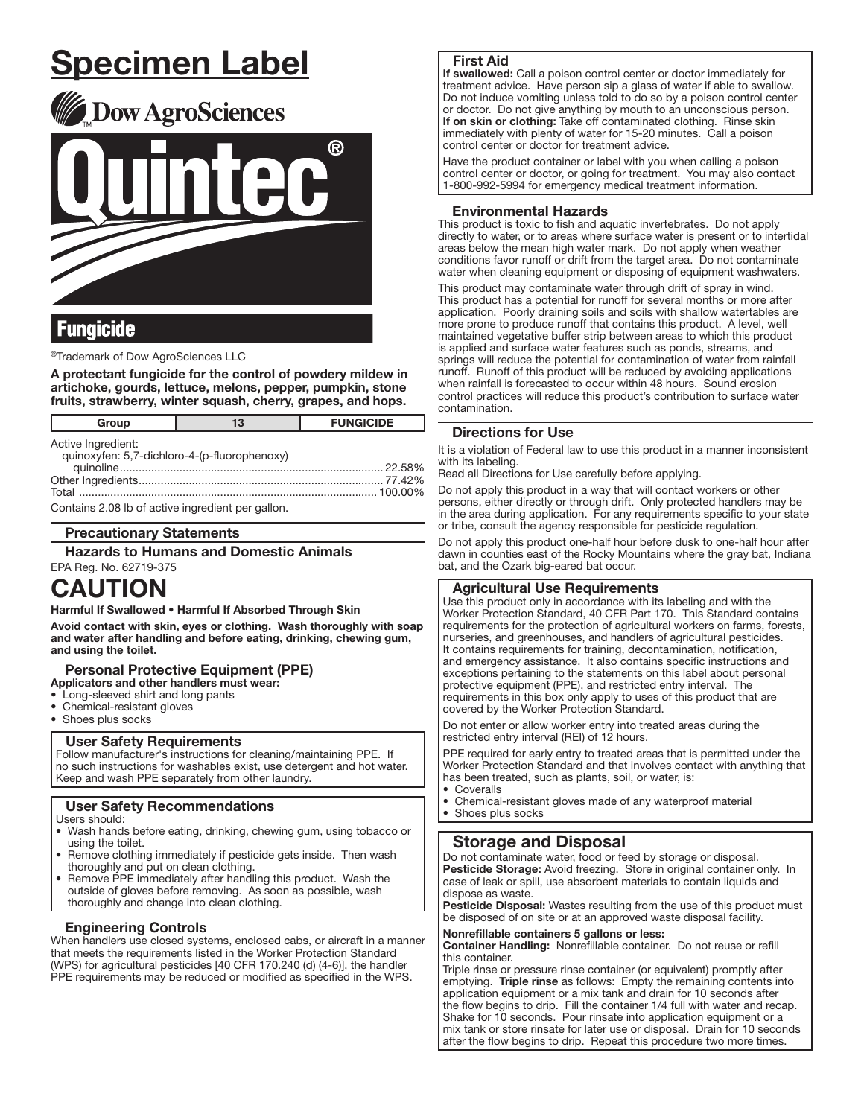# Specimen Label





# **Fungicide**

®Trademark of Dow AgroSciences LLC

A protectant fungicide for the control of powdery mildew in artichoke, gourds, lettuce, melons, pepper, pumpkin, stone fruits, strawberry, winter squash, cherry, grapes, and hops.

| Group                                                              | 13 | <b>FUNGICIDE</b> |  |  |
|--------------------------------------------------------------------|----|------------------|--|--|
| Active Ingredient:<br>quinoxyfen: 5,7-dichloro-4-(p-fluorophenoxy) |    |                  |  |  |

| quinoxynon, $\sigma, r$ alonions $\tau$ (p naciophonoxy) |  |  |
|----------------------------------------------------------|--|--|
|                                                          |  |  |
|                                                          |  |  |
|                                                          |  |  |
|                                                          |  |  |

Contains 2.08 lb of active ingredient per gallon.

#### Precautionary Statements

Hazards to Humans and Domestic Animals

EPA Reg. No. 62719-375

# CAUTION

Harmful If Swallowed • Harmful If Absorbed Through Skin

Avoid contact with skin, eyes or clothing. Wash thoroughly with soap and water after handling and before eating, drinking, chewing gum, and using the toilet.

### **Personal Protective Equipment (PPE)**

Applicators and other handlers must wear:

- Long-sleeved shirt and long pants<br>• Chemical-resistant gloves
- Chemical-resistant gloves
- Shoes plus socks

#### User Safety Requirements

Follow manufacturer's instructions for cleaning/maintaining PPE. If no such instructions for washables exist, use detergent and hot water. Keep and wash PPE separately from other laundry. ֧֖֚֕֕

# User Safety Recommendations

- Users should:
- Wash hands before eating, drinking, chewing gum, using tobacco or using the toilet.
- Remove clothing immediately if pesticide gets inside. Then wash thoroughly and put on clean clothing.
- Remove PPE immediately after handling this product. Wash the outside of gloves before removing. As soon as possible, wash thoroughly and change into clean clothing.

#### Engineering Controls

֧֖֚֕֕֡

When handlers use closed systems, enclosed cabs, or aircraft in a manner that meets the requirements listed in the Worker Protection Standard (WPS) for agricultural pesticides [40 CFR 170.240 (d) (4-6)], the handler PPE requirements may be reduced or modified as specified in the WPS.

#### First Aid

If swallowed: Call a poison control center or doctor immediately for treatment advice. Have person sip a glass of water if able to swallow. Do not induce vomiting unless told to do so by a poison control center or doctor. Do not give anything by mouth to an unconscious person. If on skin or clothing: Take off contaminated clothing. Rinse skin immediately with plenty of water for 15-20 minutes. Call a poison control center or doctor for treatment advice.

Have the product container or label with you when calling a poison control center or doctor, or going for treatment. You may also contact 1-800-992-5994 for emergency medical treatment information. ŗ

#### Environmental Hazards

This product is toxic to fish and aquatic invertebrates. Do not apply directly to water, or to areas where surface water is present or to intertidal areas below the mean high water mark. Do not apply when weather conditions favor runoff or drift from the target area. Do not contaminate water when cleaning equipment or disposing of equipment washwaters.

This product may contaminate water through drift of spray in wind. This product has a potential for runoff for several months or more after application. Poorly draining soils and soils with shallow watertables are more prone to produce runoff that contains this product. A level, well maintained vegetative buffer strip between areas to which this product is applied and surface water features such as ponds, streams, and springs will reduce the potential for contamination of water from rainfall runoff. Runoff of this product will be reduced by avoiding applications when rainfall is forecasted to occur within 48 hours. Sound erosion control practices will reduce this product's contribution to surface water contamination.

#### Directions for Use

It is a violation of Federal law to use this product in a manner inconsistent with its labeling.

Read all Directions for Use carefully before applying.

Do not apply this product in a way that will contact workers or other persons, either directly or through drift. Only protected handlers may be in the area during application. For any requirements specific to your state or tribe, consult the agency responsible for pesticide regulation.

Do not apply this product one-half hour before dusk to one-half hour after dawn in counties east of the Rocky Mountains where the gray bat, Indiana bat, and the Ozark big-eared bat occur.

#### Agricultural Use Requirements

Use this product only in accordance with its labeling and with the Worker Protection Standard, 40 CFR Part 170. This Standard contains requirements for the protection of agricultural workers on farms, forests, nurseries, and greenhouses, and handlers of agricultural pesticides. It contains requirements for training, decontamination, notification, and emergency assistance. It also contains specific instructions and exceptions pertaining to the statements on this label about personal protective equipment (PPE), and restricted entry interval. The requirements in this box only apply to uses of this product that are covered by the Worker Protection Standard.

Do not enter or allow worker entry into treated areas during the restricted entry interval (REI) of 12 hours.

PPE required for early entry to treated areas that is permitted under the Worker Protection Standard and that involves contact with anything that has been treated, such as plants, soil, or water, is:

**Coveralls** 

ŗ

• Chemical-resistant gloves made of any waterproof material Shoes plus socks

# Storage and Disposal

Do not contaminate water, food or feed by storage or disposal. Pesticide Storage: Avoid freezing. Store in original container only. In case of leak or spill, use absorbent materials to contain liquids and dispose as waste.

Pesticide Disposal: Wastes resulting from the use of this product must be disposed of on site or at an approved waste disposal facility.

#### Nonrefillable containers 5 gallons or less:

Container Handling: Nonrefillable container. Do not reuse or refill this container.

Triple rinse or pressure rinse container (or equivalent) promptly after emptying. Triple rinse as follows: Empty the remaining contents into application equipment or a mix tank and drain for 10 seconds after the flow begins to drip. Fill the container 1/4 full with water and recap. Shake for 10 seconds. Pour rinsate into application equipment or a mix tank or store rinsate for later use or disposal. Drain for 10 seconds after the flow begins to drip. Repeat this procedure two more times.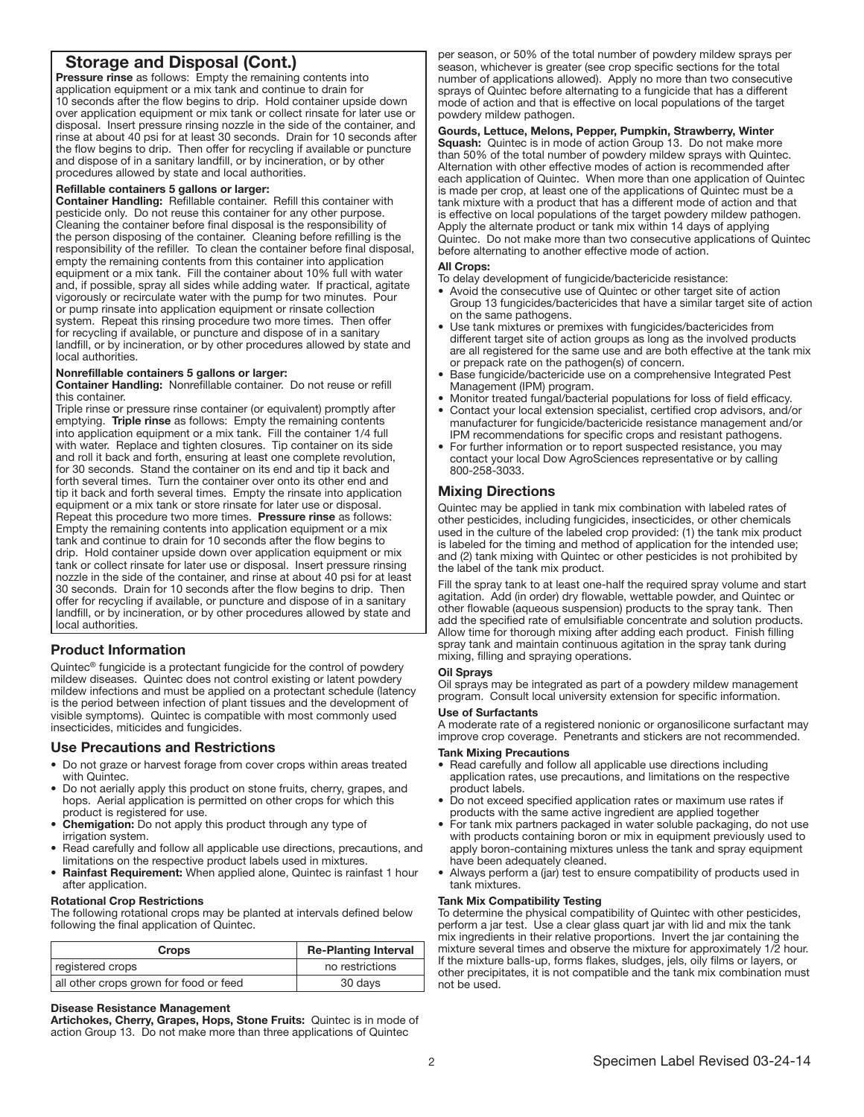# Storage and Disposal (Cont.)

Pressure rinse as follows: Empty the remaining contents into application equipment or a mix tank and continue to drain for 10 seconds after the flow begins to drip. Hold container upside down over application equipment or mix tank or collect rinsate for later use or disposal. Insert pressure rinsing nozzle in the side of the container, and rinse at about 40 psi for at least 30 seconds. Drain for 10 seconds after the flow begins to drip. Then offer for recycling if available or puncture and dispose of in a sanitary landfill, or by incineration, or by other procedures allowed by state and local authorities.

#### Refillable containers 5 gallons or larger:

Container Handling: Refillable container. Refill this container with pesticide only. Do not reuse this container for any other purpose. Cleaning the container before final disposal is the responsibility of the person disposing of the container. Cleaning before refilling is the responsibility of the refiller. To clean the container before final disposal, empty the remaining contents from this container into application equipment or a mix tank. Fill the container about 10% full with water and, if possible, spray all sides while adding water. If practical, agitate vigorously or recirculate water with the pump for two minutes. Pour or pump rinsate into application equipment or rinsate collection system. Repeat this rinsing procedure two more times. Then offer for recycling if available, or puncture and dispose of in a sanitary landfill, or by incineration, or by other procedures allowed by state and local authorities.

#### Nonrefillable containers 5 gallons or larger:

Container Handling: Nonrefillable container. Do not reuse or refill this container.

Triple rinse or pressure rinse container (or equivalent) promptly after emptying. Triple rinse as follows: Empty the remaining contents into application equipment or a mix tank. Fill the container 1/4 full with water. Replace and tighten closures. Tip container on its side and roll it back and forth, ensuring at least one complete revolution, for 30 seconds. Stand the container on its end and tip it back and forth several times. Turn the container over onto its other end and tip it back and forth several times. Empty the rinsate into application equipment or a mix tank or store rinsate for later use or disposal. Repeat this procedure two more times. Pressure rinse as follows: Empty the remaining contents into application equipment or a mix tank and continue to drain for 10 seconds after the flow begins to drip. Hold container upside down over application equipment or mix tank or collect rinsate for later use or disposal. Insert pressure rinsing nozzle in the side of the container, and rinse at about 40 psi for at least 30 seconds. Drain for 10 seconds after the flow begins to drip. Then offer for recycling if available, or puncture and dispose of in a sanitary landfill, or by incineration, or by other procedures allowed by state and local authorities.

#### Product Information

ļ

Quintec® fungicide is a protectant fungicide for the control of powdery mildew diseases. Quintec does not control existing or latent powdery mildew infections and must be applied on a protectant schedule (latency is the period between infection of plant tissues and the development of visible symptoms). Quintec is compatible with most commonly used insecticides, miticides and fungicides.

#### Use Precautions and Restrictions

- Do not graze or harvest forage from cover crops within areas treated with Quintec.
- Do not aerially apply this product on stone fruits, cherry, grapes, and hops. Aerial application is permitted on other crops for which this product is registered for use.
- Chemigation: Do not apply this product through any type of irrigation system.
- Read carefully and follow all applicable use directions, precautions, and limitations on the respective product labels used in mixtures.
- Rainfast Requirement: When applied alone, Quintec is rainfast 1 hour after application.

#### Rotational Crop Restrictions

The following rotational crops may be planted at intervals defined below following the final application of Quintec.

| <b>Crops</b>                           | <b>Re-Planting Interval</b> |  |
|----------------------------------------|-----------------------------|--|
| registered crops                       | no restrictions             |  |
| all other crops grown for food or feed | 30 days                     |  |
|                                        |                             |  |

#### Disease Resistance Management

Artichokes, Cherry, Grapes, Hops, Stone Fruits: Quintec is in mode of action Group 13. Do not make more than three applications of Quintec

per season, or 50% of the total number of powdery mildew sprays per season, whichever is greater (see crop specific sections for the total number of applications allowed). Apply no more than two consecutive sprays of Quintec before alternating to a fungicide that has a different mode of action and that is effective on local populations of the target powdery mildew pathogen.

#### Gourds, Lettuce, Melons, Pepper, Pumpkin, Strawberry, Winter

**Squash:** Quintec is in mode of action Group 13. Do not make more than 50% of the total number of powdery mildew sprays with Quintec. Alternation with other effective modes of action is recommended after each application of Quintec. When more than one application of Quintec is made per crop, at least one of the applications of Quintec must be a tank mixture with a product that has a different mode of action and that is effective on local populations of the target powdery mildew pathogen. Apply the alternate product or tank mix within 14 days of applying Quintec. Do not make more than two consecutive applications of Quintec before alternating to another effective mode of action.

#### All Crops:

To delay development of fungicide/bactericide resistance:

- Avoid the consecutive use of Quintec or other target site of action Group 13 fungicides/bactericides that have a similar target site of action on the same pathogens.
- Use tank mixtures or premixes with fungicides/bactericides from different target site of action groups as long as the involved products are all registered for the same use and are both effective at the tank mix or prepack rate on the pathogen(s) of concern.
- Base fungicide/bactericide use on a comprehensive Integrated Pest Management (IPM) program.
- Monitor treated fungal/bacterial populations for loss of field efficacy.
- Contact your local extension specialist, certified crop advisors, and/or manufacturer for fungicide/bactericide resistance management and/or IPM recommendations for specific crops and resistant pathogens.
- For further information or to report suspected resistance, you may contact your local Dow AgroSciences representative or by calling 800-258-3033.

#### Mixing Directions

Quintec may be applied in tank mix combination with labeled rates of other pesticides, including fungicides, insecticides, or other chemicals used in the culture of the labeled crop provided: (1) the tank mix product is labeled for the timing and method of application for the intended use; and (2) tank mixing with Quintec or other pesticides is not prohibited by the label of the tank mix product.

Fill the spray tank to at least one-half the required spray volume and start agitation. Add (in order) dry flowable, wettable powder, and Quintec or other flowable (aqueous suspension) products to the spray tank. Then add the specified rate of emulsifiable concentrate and solution products. Allow time for thorough mixing after adding each product. Finish filling spray tank and maintain continuous agitation in the spray tank during mixing, filling and spraying operations.

#### Oil Sprays

Oil sprays may be integrated as part of a powdery mildew management program. Consult local university extension for specific information.

#### Use of Surfactants

A moderate rate of a registered nonionic or organosilicone surfactant may improve crop coverage. Penetrants and stickers are not recommended.

#### Tank Mixing Precautions

- Read carefully and follow all applicable use directions including application rates, use precautions, and limitations on the respective product labels.
- Do not exceed specified application rates or maximum use rates if products with the same active ingredient are applied together
- For tank mix partners packaged in water soluble packaging, do not use with products containing boron or mix in equipment previously used to apply boron-containing mixtures unless the tank and spray equipment have been adequately cleaned.
- Always perform a (jar) test to ensure compatibility of products used in tank mixtures.

#### Tank Mix Compatibility Testing

To determine the physical compatibility of Quintec with other pesticides, perform a jar test. Use a clear glass quart jar with lid and mix the tank mix ingredients in their relative proportions. Invert the jar containing the mixture several times and observe the mixture for approximately 1/2 hour. If the mixture balls-up, forms flakes, sludges, jels, oily films or layers, or other precipitates, it is not compatible and the tank mix combination must not be used.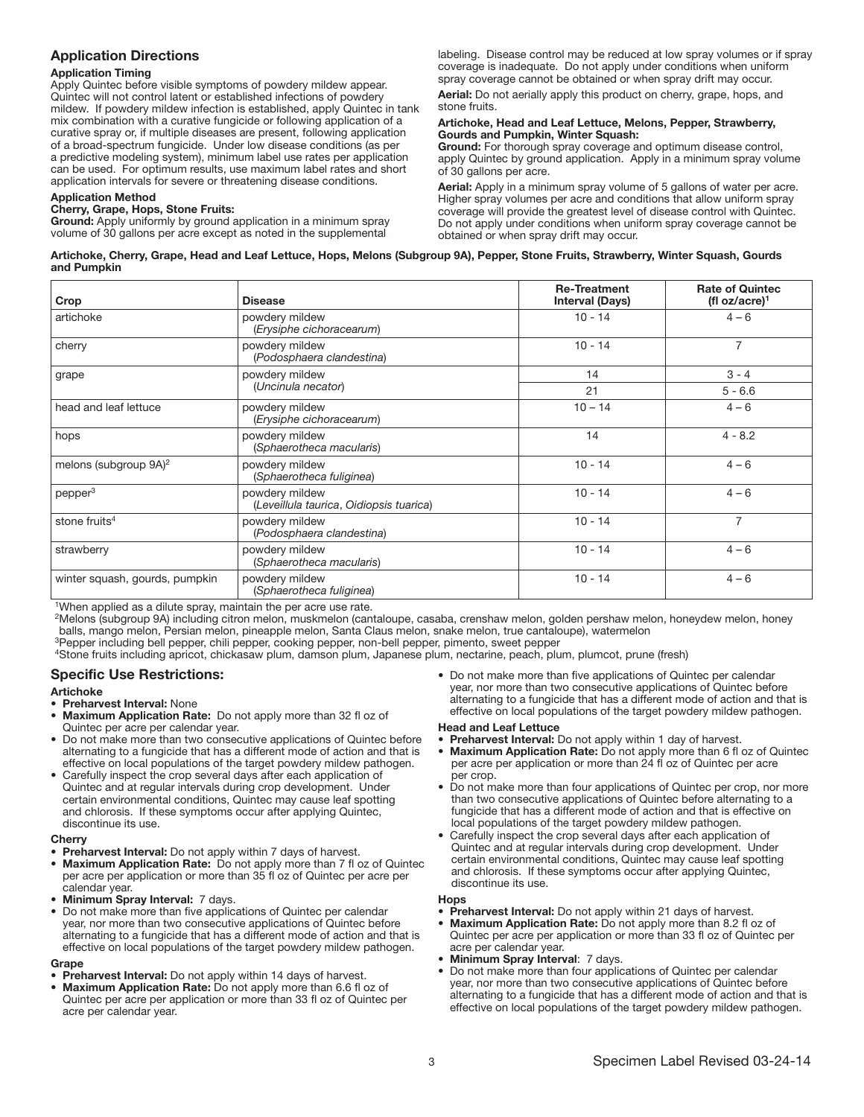#### Application Directions

#### Application Timing

Apply Quintec before visible symptoms of powdery mildew appear. Quintec will not control latent or established infections of powdery mildew. If powdery mildew infection is established, apply Quintec in tank mix combination with a curative fungicide or following application of a curative spray or, if multiple diseases are present, following application of a broad-spectrum fungicide. Under low disease conditions (as per a predictive modeling system), minimum label use rates per application can be used. For optimum results, use maximum label rates and short application intervals for severe or threatening disease conditions.

#### Application Method

#### Cherry, Grape, Hops, Stone Fruits:

Ground: Apply uniformly by ground application in a minimum spray volume of 30 gallons per acre except as noted in the supplemental

labeling. Disease control may be reduced at low spray volumes or if spray coverage is inadequate. Do not apply under conditions when uniform spray coverage cannot be obtained or when spray drift may occur.

Aerial: Do not aerially apply this product on cherry, grape, hops, and stone fruits.

#### Artichoke, Head and Leaf Lettuce, Melons, Pepper, Strawberry, Gourds and Pumpkin, Winter Squash:

Ground: For thorough spray coverage and optimum disease control, apply Quintec by ground application. Apply in a minimum spray volume of 30 gallons per acre.

Aerial: Apply in a minimum spray volume of 5 gallons of water per acre. Higher spray volumes per acre and conditions that allow uniform spray coverage will provide the greatest level of disease control with Quintec. Do not apply under conditions when uniform spray coverage cannot be obtained or when spray drift may occur.

#### Artichoke, Cherry, Grape, Head and Leaf Lettuce, Hops, Melons (Subgroup 9A), Pepper, Stone Fruits, Strawberry, Winter Squash, Gourds and Pumpkin

| Crop                              | <b>Disease</b>                                            | <b>Re-Treatment</b><br><b>Interval (Days)</b> | <b>Rate of Quintec</b><br>(fl oz/acre) <sup>1</sup> |
|-----------------------------------|-----------------------------------------------------------|-----------------------------------------------|-----------------------------------------------------|
| artichoke                         | powdery mildew<br>(Erysiphe cichoracearum)                | $10 - 14$                                     | $4 - 6$                                             |
| cherry                            | powdery mildew<br>(Podosphaera clandestina)               | $10 - 14$                                     | 7                                                   |
| grape                             | powdery mildew<br>(Uncinula necator)                      | 14                                            | $3 - 4$                                             |
|                                   |                                                           | 21                                            | $5 - 6.6$                                           |
| head and leaf lettuce             | powdery mildew<br>(Erysiphe cichoracearum)                | $10 - 14$                                     | $4 - 6$                                             |
| hops                              | powdery mildew<br>(Sphaerotheca macularis)                | 14                                            | $4 - 8.2$                                           |
| melons (subgroup 9A) <sup>2</sup> | powdery mildew<br>(Sphaerotheca fuliginea)                | $10 - 14$                                     | $4 - 6$                                             |
| pepper <sup>3</sup>               | powdery mildew<br>(Leveillula taurica, Oidiopsis tuarica) | $10 - 14$                                     | $4 - 6$                                             |
| stone fruits <sup>4</sup>         | powdery mildew<br>(Podosphaera clandestina)               | $10 - 14$                                     | $\overline{7}$                                      |
| strawberry                        | powdery mildew<br>(Sphaerotheca macularis)                | $10 - 14$                                     | $4 - 6$                                             |
| winter squash, gourds, pumpkin    | powdery mildew<br>(Sphaerotheca fuliginea)                | $10 - 14$                                     | $4 - 6$                                             |

<sup>1</sup>When applied as a dilute spray, maintain the per acre use rate.

<sup>2</sup>Melons (subgroup 9A) including citron melon, muskmelon (cantaloupe, casaba, crenshaw melon, golden pershaw melon, honeydew melon, honey balls, mango melon, Persian melon, pineapple melon, Santa Claus melon, snake melon, true cantaloupe), watermelon

<sup>3</sup>Pepper including bell pepper, chili pepper, cooking pepper, non-bell pepper, pimento, sweet pepper

<sup>4</sup>Stone fruits including apricot, chickasaw plum, damson plum, Japanese plum, nectarine, peach, plum, plumcot, prune (fresh)

# Specific Use Restrictions:

#### Artichoke

- Preharvest Interval: None
- Maximum Application Rate: Do not apply more than 32 fl oz of Quintec per acre per calendar year.
- Do not make more than two consecutive applications of Quintec before alternating to a fungicide that has a different mode of action and that is effective on local populations of the target powdery mildew pathogen.
- Carefully inspect the crop several days after each application of Quintec and at regular intervals during crop development. Under certain environmental conditions, Quintec may cause leaf spotting and chlorosis. If these symptoms occur after applying Quintec, discontinue its use.

#### **Cherry**

- Preharvest Interval: Do not apply within 7 days of harvest.
- Maximum Application Rate: Do not apply more than 7 fl oz of Quintec per acre per application or more than 35 fl oz of Quintec per acre per calendar year.
- **Minimum Spray Interval: 7 days.**
- Do not make more than five applications of Quintec per calendar year, nor more than two consecutive applications of Quintec before alternating to a fungicide that has a different mode of action and that is effective on local populations of the target powdery mildew pathogen.

#### **Grape**

- Preharvest Interval: Do not apply within 14 days of harvest.
- Maximum Application Rate: Do not apply more than 6.6 fl oz of Quintec per acre per application or more than 33 fl oz of Quintec per acre per calendar year.

• Do not make more than five applications of Quintec per calendar year, nor more than two consecutive applications of Quintec before alternating to a fungicide that has a different mode of action and that is effective on local populations of the target powdery mildew pathogen.

#### Head and Leaf Lettuce

- Preharvest Interval: Do not apply within 1 day of harvest.<br>• Maximum Application Rate: Do not apply more than 6 fl
- Maximum Application Rate: Do not apply more than 6 fl oz of Quintec per acre per application or more than 24 fl oz of Quintec per acre per crop.
- Do not make more than four applications of Quintec per crop, nor more than two consecutive applications of Quintec before alternating to a fungicide that has a different mode of action and that is effective on local populations of the target powdery mildew pathogen.
- Carefully inspect the crop several days after each application of Quintec and at regular intervals during crop development. Under certain environmental conditions, Quintec may cause leaf spotting and chlorosis. If these symptoms occur after applying Quintec, discontinue its use.

#### Hops

- Preharvest Interval: Do not apply within 21 days of harvest.
- Maximum Application Rate: Do not apply more than 8.2 fl oz of Quintec per acre per application or more than 33 fl oz of Quintec per acre per calendar year.
- Minimum Spray Interval: 7 days.
- Do not make more than four applications of Quintec per calendar year, nor more than two consecutive applications of Quintec before alternating to a fungicide that has a different mode of action and that is effective on local populations of the target powdery mildew pathogen.